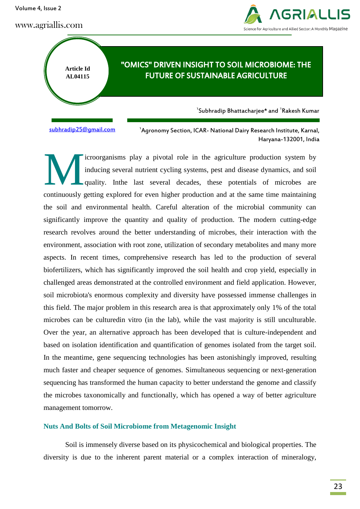Volume 4, Issue 2

www.agriallis.com



"OMICS" DRIVEN INSIGHT TO SOIL MICROBIOME: THE FUTURE OF SUSTAINABLE AGRICULTURE

 $\mathrm{^{1}S}$ ubhradip Bhattacharjee\* and  $\mathrm{^{1}R}$ akesh Kumar

[subhradip25@gmail.com](mailto:subhradip25@gmail.com) <sup>1</sup>

**Article Id AL04115**

> <sup>1</sup> Agronomy Section, ICAR- National Dairy Research Institute, Karnal, Haryana-132001, India

icroorganisms play a pivotal role in the agriculture production system by inducing several nutrient cycling systems, pest and disease dynamics, and soil quality. Inthe last several decades, these potentials of microbes are continuously getting explored for even higher production and at the same time maintaining the soil and environmental health. Careful alteration of the microbial community can significantly improve the quantity and quality of production. The modern cutting-edge research revolves around the better understanding of microbes, their interaction with the environment, association with root zone, utilization of secondary metabolites and many more aspects. In recent times, comprehensive research has led to the production of several biofertilizers, which has significantly improved the soil health and crop yield, especially in challenged areas demonstrated at the controlled environment and field application. However, soil microbiota's enormous complexity and diversity have possessed immense challenges in this field. The major problem in this research area is that approximately only 1% of the total microbes can be culturedin vitro (in the lab), while the vast majority is still unculturable. Over the year, an alternative approach has been developed that is culture-independent and based on isolation identification and quantification of genomes isolated from the target soil. In the meantime, gene sequencing technologies has been astonishingly improved, resulting much faster and cheaper sequence of genomes. Simultaneous sequencing or next-generation sequencing has transformed the human capacity to better understand the genome and classify the microbes taxonomically and functionally, which has opened a way of better agriculture management tomorrow. M

### **Nuts And Bolts of Soil Microbiome from Metagenomic Insight**

Soil is immensely diverse based on its physicochemical and biological properties. The diversity is due to the inherent parent material or a complex interaction of mineralogy,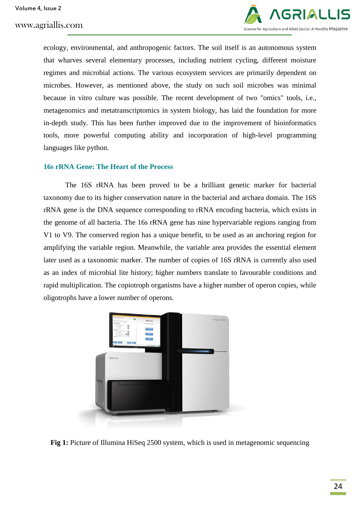

ecology, environmental, and anthropogenic factors. The soil itself is an autonomous system that wharves several elementary processes, including nutrient cycling, different moisture regimes and microbial actions. The various ecosystem services are primarily dependent on microbes. However, as mentioned above, the study on such soil microbes was minimal because in vitro culture was possible. The recent development of two "omics" tools, i.e., metagenomics and metatranscriptomics in system biology, has laid the foundation for more in-depth study. This has been further improved due to the improvement of bioinformatics tools, more powerful computing ability and incorporation of high-level programming languages like python.

#### **16s rRNA Gene: The Heart of the Process**

The 16S rRNA has been proved to be a brilliant genetic marker for bacterial taxonomy due to its higher conservation nature in the bacterial and archaea domain. The 16S rRNA gene is the DNA sequence corresponding to rRNA encoding bacteria, which exists in the genome of all bacteria. The 16s rRNA gene has nine hypervariable regions ranging from V1 to V9. The conserved region has a unique benefit, to be used as an anchoring region for amplifying the variable region. Meanwhile, the variable area provides the essential element later used as a taxonomic marker. The number of copies of 16S rRNA is currently also used as an index of microbial lite history; higher numbers translate to favourable conditions and rapid multiplication. The copiotroph organisms have a higher number of operon copies, while oligotrophs have a lower number of operons.



**Fig 1:** Picture of Illumina HiSeq 2500 system, which is used in metagenomic sequencing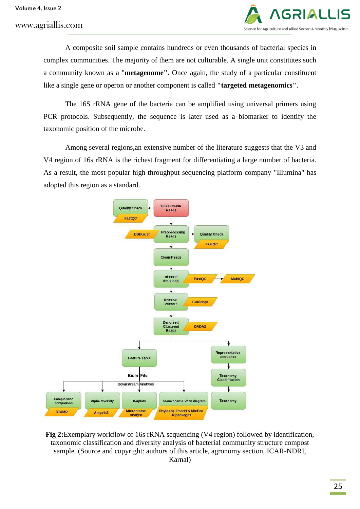

A composite soil sample contains hundreds or even thousands of bacterial species in complex communities. The majority of them are not culturable. A single unit constitutes such a community known as a "**metagenome"**. Once again, the study of a particular constituent like a single gene or operon or another component is called **"targeted metagenomics"**.

The 16S rRNA gene of the bacteria can be amplified using universal primers using PCR protocols. Subsequently, the sequence is later used as a biomarker to identify the taxonomic position of the microbe.

Among several regions,an extensive number of the literature suggests that the V3 and V4 region of 16s rRNA is the richest fragment for differentiating a large number of bacteria. As a result, the most popular high throughput sequencing platform company "Illumina" has adopted this region as a standard.



**Fig 2:**Exemplary workflow of 16s rRNA sequencing (V4 region) followed by identification, taxonomic classification and diversity analysis of bacterial community structure compost sample. (Source and copyright: authors of this article, agronomy section, ICAR-NDRI, Karnal)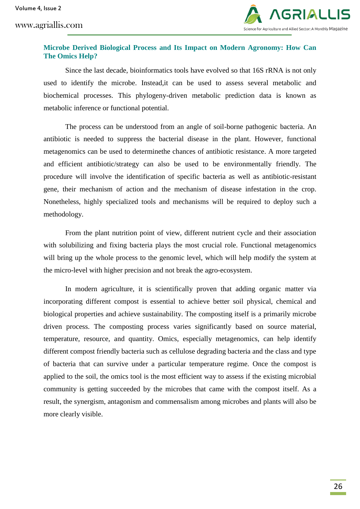www.agriallis.com



### **Microbe Derived Biological Process and Its Impact on Modern Agronomy: How Can The Omics Help?**

Since the last decade, bioinformatics tools have evolved so that 16S rRNA is not only used to identify the microbe. Instead,it can be used to assess several metabolic and biochemical processes. This phylogeny-driven metabolic prediction data is known as metabolic inference or functional potential.

The process can be understood from an angle of soil-borne pathogenic bacteria. An antibiotic is needed to suppress the bacterial disease in the plant. However, functional metagenomics can be used to determinethe chances of antibiotic resistance. A more targeted and efficient antibiotic/strategy can also be used to be environmentally friendly. The procedure will involve the identification of specific bacteria as well as antibiotic-resistant gene, their mechanism of action and the mechanism of disease infestation in the crop. Nonetheless, highly specialized tools and mechanisms will be required to deploy such a methodology.

From the plant nutrition point of view, different nutrient cycle and their association with solubilizing and fixing bacteria plays the most crucial role. Functional metagenomics will bring up the whole process to the genomic level, which will help modify the system at the micro-level with higher precision and not break the agro-ecosystem.

In modern agriculture, it is scientifically proven that adding organic matter via incorporating different compost is essential to achieve better soil physical, chemical and biological properties and achieve sustainability. The composting itself is a primarily microbe driven process. The composting process varies significantly based on source material, temperature, resource, and quantity. Omics, especially metagenomics, can help identify different compost friendly bacteria such as cellulose degrading bacteria and the class and type of bacteria that can survive under a particular temperature regime. Once the compost is applied to the soil, the omics tool is the most efficient way to assess if the existing microbial community is getting succeeded by the microbes that came with the compost itself. As a result, the synergism, antagonism and commensalism among microbes and plants will also be more clearly visible.